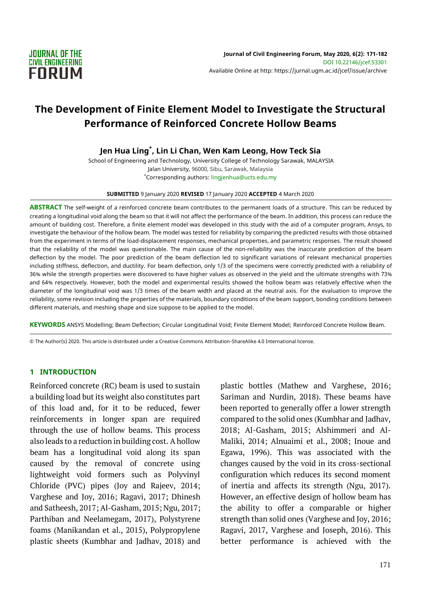

# **The Development of Finite Element Model to Investigate the Structural Performance of Reinforced Concrete Hollow Beams**

**Jen Hua Ling\* , Lin Li Chan, Wen Kam Leong, How Teck Sia**

School of Engineering and Technology, University College of Technology Sarawak, MALAYSIA Jalan University, 96000, Sibu, Sarawak, Malaysia \*Corresponding authors: lingjenhua@ucts.edu.my

**SUBMITTED** 9 January 2020 **REVISED** 17 January 2020 **ACCEPTED** 4 March 2020

**ABSTRACT** The self-weight of a reinforced concrete beam contributes to the permanent loads of a structure. This can be reduced by creating a longitudinal void along the beam so that it will not affect the performance of the beam. In addition, this process can reduce the amount of building cost. Therefore, a finite element model was developed in this study with the aid of a computer program, Ansys, to investigate the behaviour of the hollow beam. The model was tested for reliability by comparing the predicted results with those obtained from the experiment in terms of the load-displacement responses, mechanical properties, and parametric responses. The result showed that the reliability of the model was questionable. The main cause of the non-reliability was the inaccurate prediction of the beam deflection by the model. The poor prediction of the beam deflection led to significant variations of relevant mechanical properties including stiffness, deflection, and ductility. For beam deflection, only 1/3 of the specimens were correctly predicted with a reliability of 36% while the strength properties were discovered to have higher values as observed in the yield and the ultimate strengths with 73% and 64% respectively. However, both the model and experimental results showed the hollow beam was relatively effective when the diameter of the longitudinal void was 1/3 times of the beam width and placed at the neutral axis. For the evaluation to improve the reliability, some revision including the properties of the materials, boundary conditions of the beam support, bonding conditions between different materials, and meshing shape and size suppose to be applied to the model.

**KEYWORDS** ANSYS Modelling; Beam Deflection; Circular Longitudinal Void; Finite Element Model; Reinforced Concrete Hollow Beam.

© The Author(s) 2020. This article is distributed under a Creative Commons Attribution-ShareAlike 4.0 International license.

#### **1 INTRODUCTION**

Reinforced concrete (RC) beam is used to sustain a building load but its weight also constitutes part of this load and, for it to be reduced, fewer reinforcements in longer span are required through the use of hollow beams. This process also leads to a reduction in building cost. A hollow beam has a longitudinal void along its span caused by the removal of concrete using lightweight void formers such as Polyvinyl Chloride (PVC) pipes (Joy and Rajeev, 2014; Varghese and Joy, 2016; Ragavi, 2017; Dhinesh and Satheesh, 2017; Al-Gasham, 2015; Ngu, 2017; Parthiban and Neelamegam, 2017), Polystyrene foams (Manikandan et al., 2015), Polypropylene plastic sheets (Kumbhar and Jadhav, 2018) and plastic bottles (Mathew and Varghese, 2016; Sariman and Nurdin, 2018). These beams have been reported to generally offer a lower strength compared to the solid ones (Kumbhar and Jadhav, 2018; Al-Gasham, 2015; Alshimmeri and Al-Maliki, 2014; Alnuaimi et al., 2008; Inoue and Egawa, 1996). This was associated with the changes caused by the void in its cross-sectional configuration which reduces its second moment of inertia and affects its strength (Ngu, 2017). However, an effective design of hollow beam has the ability to offer a comparable or higher strength than solid ones (Varghese and Joy, 2016; Ragavi, 2017, Varghese and Joseph, 2016). This better performance is achieved with the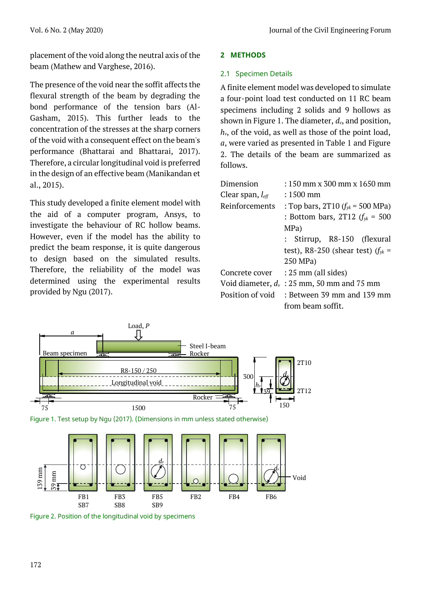placement of the void along the neutral axis of the beam (Mathew and Varghese, 2016).

The presence of the void near the soffit affects the flexural strength of the beam by degrading the bond performance of the tension bars (Al-Gasham, 2015). This further leads to the concentration of the stresses at the sharp corners of the void with a consequent effect on the beam's performance (Bhattarai and Bhattarai, 2017). Therefore, a circular longitudinal void is preferred in the design of an effective beam (Manikandan et al., 2015).

This study developed a finite element model with the aid of a computer program, Ansys, to investigate the behaviour of RC hollow beams. However, even if the model has the ability to predict the beam response, it is quite dangerous to design based on the simulated results. Therefore, the reliability of the model was determined using the experimental results provided by Ngu (2017).

### **2 METHODS**

### 2.1 Specimen Details

A finite element model was developed to simulate a four-point load test conducted on 11 RC beam specimens including 2 solids and 9 hollows as shown in Figure 1. The diameter, *dv*, and position,  $h_v$ , of the void, as well as those of the point load, *a*, were varied as presented in Table 1 and Figure 2. The details of the beam are summarized as follows.

| Dimension                    | $: 150$ mm x 300 mm x 1650 mm                 |  |  |  |  |  |
|------------------------------|-----------------------------------------------|--|--|--|--|--|
| Clear span, $l_{\text{eff}}$ | $: 1500 \text{ mm}$                           |  |  |  |  |  |
| Reinforcements               | : Top bars, 2T10 $(f_w = 500 \text{ MPa})$    |  |  |  |  |  |
|                              | : Bottom bars, 2T12 $(f_{yk} = 500)$          |  |  |  |  |  |
|                              | MPa)                                          |  |  |  |  |  |
|                              | : Stirrup, R8-150 (flexural                   |  |  |  |  |  |
|                              | test), R8-250 (shear test) $(f_{yk} =$        |  |  |  |  |  |
|                              | 250 MPa)                                      |  |  |  |  |  |
|                              | Concrete cover : 25 mm (all sides)            |  |  |  |  |  |
|                              | Void diameter, $d_v$ : 25 mm, 50 mm and 75 mm |  |  |  |  |  |
| Position of void             | $:$ Between 39 mm and 139 mm                  |  |  |  |  |  |
|                              | from beam soffit.                             |  |  |  |  |  |



Figure 1. Test setup by Ngu (2017). (Dimensions in mm unless stated otherwise)



Figure 2. Position of the longitudinal void by specimens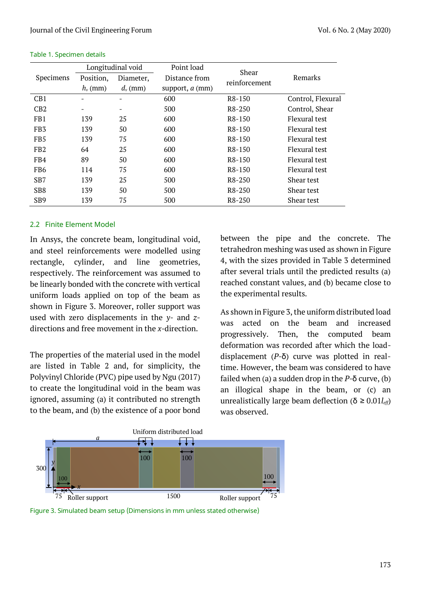|                  | Longitudinal void        |            | Point load             | Shear               |                   |  |
|------------------|--------------------------|------------|------------------------|---------------------|-------------------|--|
| <b>Specimens</b> | Position,                | Diameter,  | Distance from          | reinforcement       | Remarks           |  |
|                  | $h_v$ (mm)               | $d_v$ (mm) | support, <i>a</i> (mm) |                     |                   |  |
| CB1              | $\qquad \qquad$          |            | 600                    | R8-150              | Control, Flexural |  |
| CB2              | $\overline{\phantom{a}}$ |            | 500                    | R8-250              | Control, Shear    |  |
| FB1              | 139                      | 25         | 600                    | R8-150              | Flexural test     |  |
| FB <sub>3</sub>  | 139                      | 50         | 600                    | R8-150              | Flexural test     |  |
| FB <sub>5</sub>  | 139                      | 75         | 600                    | R <sub>8</sub> -150 | Flexural test     |  |
| FB <sub>2</sub>  | 64                       | 25         | 600                    | R8-150              | Flexural test     |  |
| FB4              | 89                       | 50         | 600                    | R8-150              | Flexural test     |  |
| FB <sub>6</sub>  | 114                      | 75         | 600                    | R8-150              | Flexural test     |  |
| S <sub>B</sub> 7 | 139                      | 25         | 500                    | R8-250              | Shear test        |  |
| S <sub>B</sub> 8 | 139                      | 50         | 500                    | R8-250              | Shear test        |  |
| S <sub>B</sub> 9 | 139                      | 75         | 500                    | R8-250              | Shear test        |  |

#### Table 1. Specimen details

#### 2.2 Finite Element Model

In Ansys, the concrete beam, longitudinal void, and steel reinforcements were modelled using rectangle, cylinder, and line geometries, respectively. The reinforcement was assumed to be linearly bonded with the concrete with vertical uniform loads applied on top of the beam as shown in Figure 3. Moreover, roller support was used with zero displacements in the *y-* and *z*directions and free movement in the *x-*direction.

The properties of the material used in the model are listed in Table 2 and, for simplicity, the Polyvinyl Chloride (PVC) pipe used by Ngu (2017) to create the longitudinal void in the beam was ignored, assuming (a) it contributed no strength to the beam, and (b) the existence of a poor bond between the pipe and the concrete. The tetrahedron meshing was used as shown in Figure 4, with the sizes provided in Table 3 determined after several trials until the predicted results (a) reached constant values, and (b) became close to the experimental results.

As shown in Figure 3, the uniform distributed load was acted on the beam and increased progressively. Then, the computed beam deformation was recorded after which the loaddisplacement (*P-*δ) curve was plotted in realtime. However, the beam was considered to have failed when (a) a sudden drop in the *P-*δ curve, (b) an illogical shape in the beam, or (c) an unrealistically large beam deflection ( $\delta \geq 0.01 l_{\text{eff}}$ ) was observed.



Figure 3. Simulated beam setup (Dimensions in mm unless stated otherwise)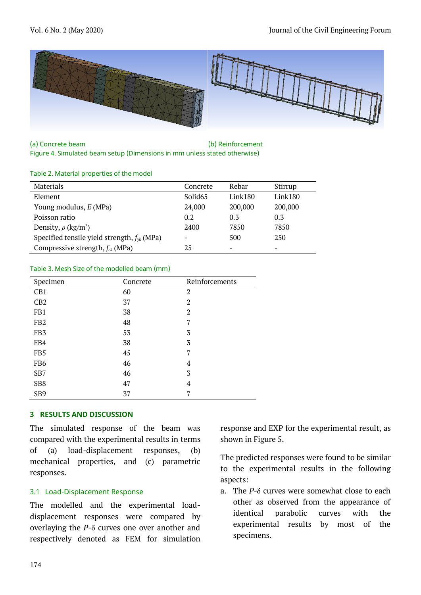

(a) Concrete beam (b) Reinforcement Figure 4. Simulated beam setup (Dimensions in mm unless stated otherwise)

#### Table 2. Material properties of the model

| Materials                                        | Concrete            | Rebar                    | Stirrup                  |
|--------------------------------------------------|---------------------|--------------------------|--------------------------|
| Element                                          | Solid <sub>65</sub> | Link180                  | Link180                  |
| Young modulus, $E(MPa)$                          | 24,000              | 200,000                  | 200,000                  |
| Poisson ratio                                    | 0.2                 | 0.3                      | 0.3                      |
| Density, $\rho$ (kg/m <sup>3</sup> )             | 2400                | 7850                     | 7850                     |
| Specified tensile yield strength, $f_{yk}$ (MPa) |                     | 500                      | 250                      |
| Compressive strength, $f_{ck}$ (MPa)             | 25                  | $\overline{\phantom{a}}$ | $\overline{\phantom{0}}$ |

#### Table 3. Mesh Size of the modelled beam (mm)

| Specimen        | Concrete | Reinforcements |
|-----------------|----------|----------------|
| CB1             | 60       | $\overline{2}$ |
| CB2             | 37       | $\overline{2}$ |
| FB1             | 38       | $\overline{2}$ |
| FB <sub>2</sub> | 48       | 7              |
| FB <sub>3</sub> | 53       | 3              |
| FB4             | 38       | 3              |
| FB5             | 45       | 7              |
| FB <sub>6</sub> | 46       | 4              |
| SB7             | 46       | 3              |
| SB8             | 47       | 4              |
| SB <sub>9</sub> | 37       | 7              |

#### **3 RESULTS AND DISCUSSION**

The simulated response of the beam was compared with the experimental results in terms of (a) load-displacement responses, (b) mechanical properties, and (c) parametric responses.

#### 3.1 Load-Displacement Response

The modelled and the experimental loaddisplacement responses were compared by overlaying the *P-*δ curves one over another and respectively denoted as FEM for simulation

response and EXP for the experimental result, as shown in Figure 5.

The predicted responses were found to be similar to the experimental results in the following aspects:

a. The *P-*δ curves were somewhat close to each other as observed from the appearance of identical parabolic curves with the experimental results by most of the specimens.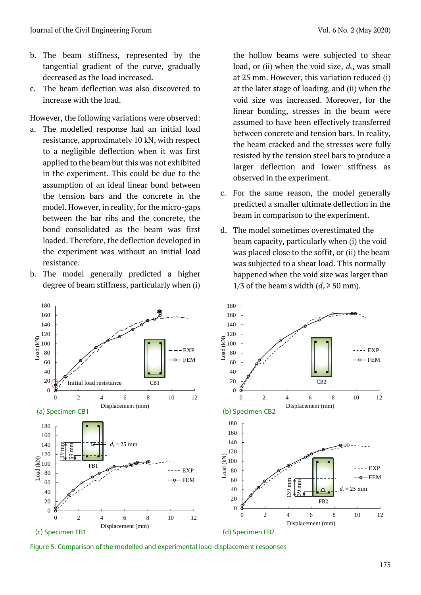- b. The beam stiffness, represented by the tangential gradient of the curve, gradually decreased as the load increased.
- c. The beam deflection was also discovered to increase with the load.

However, the following variations were observed:

- a. The modelled response had an initial load resistance, approximately 10 kN, with respect to a negligible deflection when it was first applied to the beam but this was not exhibited in the experiment. This could be due to the assumption of an ideal linear bond between the tension bars and the concrete in the model. However, in reality, for the micro-gaps between the bar ribs and the concrete, the bond consolidated as the beam was first loaded. Therefore, the deflection developed in the experiment was without an initial load resistance.
- b. The model generally predicted a higher degree of beam stiffness, particularly when (i)

the hollow beams were subjected to shear load, or (ii) when the void size, *dv*, was small at 25 mm. However, this variation reduced (i) at the later stage of loading, and (ii) when the void size was increased. Moreover, for the linear bonding, stresses in the beam were assumed to have been effectively transferred between concrete and tension bars. In reality, the beam cracked and the stresses were fully resisted by the tension steel bars to produce a larger deflection and lower stiffness as observed in the experiment.

- c. For the same reason, the model generally predicted a smaller ultimate deflection in the beam in comparison to the experiment.
- d. The model sometimes overestimated the beam capacity, particularly when (i) the void was placed close to the soffit, or (ii) the beam was subjected to a shear load. This normally happened when the void size was larger than 1/3 of the beam's width  $(d_v \ge 50$  mm).



Figure 5. Comparison of the modelled and experimental load-displacement responses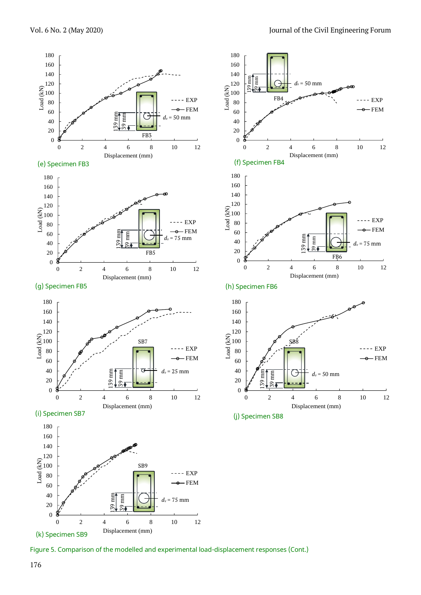

Figure 5. Comparison of the modelled and experimental load-displacement responses (Cont.)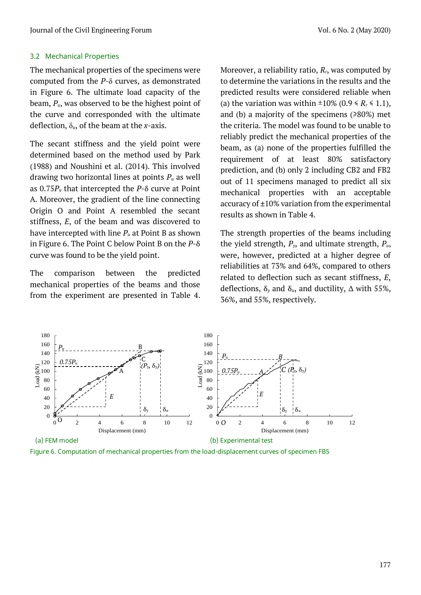### 3.2 Mechanical Properties

The mechanical properties of the specimens were computed from the *P-*δ curves, as demonstrated in Figure 6. The ultimate load capacity of the beam, *Pu*, was observed to be the highest point of the curve and corresponded with the ultimate deflection, δ*u*, of the beam at the *x-*axis.

The secant stiffness and the yield point were determined based on the method used by Park (1988) and Noushini et al. (2014). This involved drawing two horizontal lines at points *P<sup>u</sup>* as well as 0.75*P<sup>u</sup>* that intercepted the *P*-δ curve at Point A. Moreover, the gradient of the line connecting Origin O and Point A resembled the secant stiffness, *E*, of the beam and was discovered to have intercepted with line *P<sup>u</sup>* at Point B as shown in Figure 6. The Point C below Point B on the *P-*δ curve was found to be the yield point.

The comparison between the predicted mechanical properties of the beams and those from the experiment are presented in Table 4. Moreover, a reliability ratio, *Rr*, was computed by to determine the variations in the results and the predicted results were considered reliable when (a) the variation was within  $\pm 10\%$  (0.9  $\le R_r \le 1.1$ ), and (b) a majority of the specimens (≥80%) met the criteria. The model was found to be unable to reliably predict the mechanical properties of the beam, as (a) none of the properties fulfilled the requirement of at least 80% satisfactory prediction, and (b) only 2 including CB2 and FB2 out of 11 specimens managed to predict all six mechanical properties with an acceptable accuracy of ±10% variation from the experimental results as shown in Table 4.

The strength properties of the beams including the yield strength, *Py*, and ultimate strength, *Pu*, were, however, predicted at a higher degree of reliabilities at 73% and 64%, compared to others related to deflection such as secant stiffness, *E*, deflections, δ*<sup>y</sup>* and δ*u*, and ductility, Δ with 55%, 36%, and 55%, respectively.



Figure 6. Computation of mechanical properties from the load-displacement curves of specimen FB5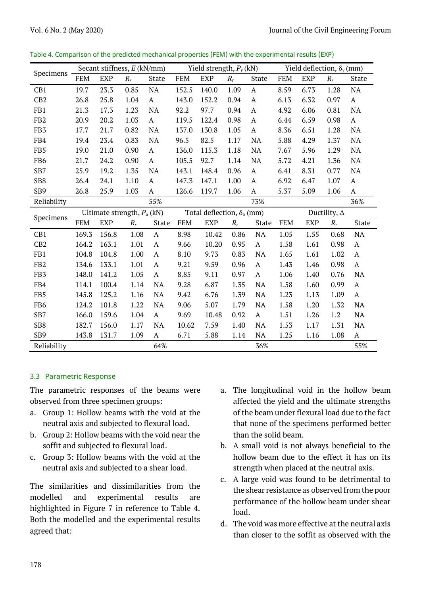|                 | Secant stiffness, E (kN/mm) |            |                               | Yield strength, $P_y$ (kN) |            |                                   |       | Yield deflection, $\delta_{\nu}$ (mm) |            |            |                     |              |
|-----------------|-----------------------------|------------|-------------------------------|----------------------------|------------|-----------------------------------|-------|---------------------------------------|------------|------------|---------------------|--------------|
| Specimens       | <b>FEM</b>                  | <b>EXP</b> | $R_r$                         | State                      | <b>FEM</b> | <b>EXP</b>                        | $R_r$ | State                                 | <b>FEM</b> | <b>EXP</b> | $R_r$               | State        |
| CB1             | 19.7                        | 23.3       | 0.85                          | $\rm NA$                   | 152.5      | 140.0                             | 1.09  | $\mathbf{A}$                          | 8.59       | 6.73       | 1.28                | NA           |
| CB2             | 26.8                        | 25.8       | 1.04                          | $\mathbf{A}$               | 143.0      | 152.2                             | 0.94  | A                                     | 6.13       | 6.32       | 0.97                | $\mathbf{A}$ |
| FB1             | 21.3                        | 17.3       | 1.23                          | NA                         | 92.2       | 97.7                              | 0.94  | A                                     | 4.92       | 6.06       | 0.81                | <b>NA</b>    |
| FB <sub>2</sub> | 20.9                        | 20.2       | 1.03                          | $\mathbf{A}$               | 119.5      | 122.4                             | 0.98  | $\mathbf{A}$                          | 6.44       | 6.59       | 0.98                | $\mathbf{A}$ |
| FB <sub>3</sub> | 17.7                        | 21.7       | 0.82                          | <b>NA</b>                  | 137.0      | 130.8                             | 1.05  | $\mathbf{A}$                          | 8.36       | 6.51       | 1.28                | NA           |
| FB4             | 19.4                        | 23.4       | 0.83                          | <b>NA</b>                  | 96.5       | 82.5                              | 1.17  | <b>NA</b>                             | 5.88       | 4.29       | 1.37                | <b>NA</b>    |
| FB5             | 19.0                        | 21.0       | 0.90                          | $\mathbf{A}$               | 136.0      | 115.3                             | 1.18  | NA                                    | 7.67       | 5.96       | 1.29                | NA           |
| FB <sub>6</sub> | 21.7                        | 24.2       | 0.90                          | A                          | 105.5      | 92.7                              | 1.14  | <b>NA</b>                             | 5.72       | 4.21       | 1.36                | <b>NA</b>    |
| SB7             | 25.9                        | 19.2       | 1.35                          | NA                         | 143.1      | 148.4                             | 0.96  | $\mathbf{A}$                          | 6.41       | 8.31       | 0.77                | <b>NA</b>    |
| SB8             | 26.4                        | 24.1       | 1.10                          | $\mathbf{A}$               | 147.3      | 147.1                             | 1.00  | $\mathbf{A}$                          | 6.92       | 6.47       | 1.07                | $\mathbf{A}$ |
| SB9             | 26.8                        | 25.9       | 1.03                          | A                          | 126.6      | 119.7                             | 1.06  | A                                     | 5.37       | 5.09       | 1.06                | A            |
| Reliability     |                             |            |                               | 55%                        |            |                                   |       | 73%                                   |            |            |                     | 36%          |
|                 |                             |            |                               |                            |            |                                   |       |                                       |            |            |                     |              |
|                 |                             |            | Ultimate strength, $P_u$ (kN) |                            |            | Total deflection, $\delta_u$ (mm) |       |                                       |            |            | Ductility, $\Delta$ |              |
| Specimens       | <b>FEM</b>                  | <b>EXP</b> | $R_r$                         | State                      | <b>FEM</b> | EXP                               | $R_r$ | State                                 | <b>FEM</b> | <b>EXP</b> | $R_r$               | State        |
| CB1             | 169.3                       | 156.8      | 1.08                          | $\mathbf{A}$               | 8.98       | 10.42                             | 0.86  | NA                                    | 1.05       | 1.55       | 0.68                | <b>NA</b>    |
| CB2             | 164.2                       | 163.1      | 1.01                          | $\mathbf{A}$               | 9.66       | 10.20                             | 0.95  | $\mathbf{A}$                          | 1.58       | 1.61       | 0.98                | $\mathbf{A}$ |
| FB1             | 104.8                       | 104.8      | 1.00                          | A                          | 8.10       | 9.73                              | 0.83  | NA                                    | 1.65       | 1.61       | 1.02                | $\mathbf{A}$ |
| FB <sub>2</sub> | 134.6                       | 133.1      | 1.01                          | $\mathbf{A}$               | 9.21       | 9.59                              | 0.96  | $\mathbf A$                           | 1.43       | 1.46       | 0.98                | $\mathbf{A}$ |
| FB <sub>3</sub> | 148.0                       | 141.2      | 1.05                          | $\mathbf{A}$               | 8.85       | 9.11                              | 0.97  | $\mathbf{A}$                          | 1.06       | 1.40       | 0.76                | NA           |
| FB4             | 114.1                       | 100.4      | 1.14                          | NA                         | 9.28       | 6.87                              | 1.35  | <b>NA</b>                             | 1.58       | 1.60       | 0.99                | $\mathbf{A}$ |
| FB5             | 145.8                       | 125.2      | 1.16                          | NA                         | 9.42       | 6.76                              | 1.39  | <b>NA</b>                             | 1.23       | 1.13       | 1.09                | $\mathbf{A}$ |
| FB <sub>6</sub> | 124.2                       | 101.8      | 1.22                          | NA                         | 9.06       | 5.07                              | 1.79  | NA                                    | 1.58       | 1.20       | 1.32                | NA           |
| SB7             | 166.0                       | 159.6      | 1.04                          | A                          | 9.69       | 10.48                             | 0.92  | A                                     | 1.51       | 1.26       | 1.2                 | $\rm NA$     |
| SB8             | 182.7                       | 156.0      | 1.17                          | NA                         | 10.62      | 7.59                              | 1.40  | <b>NA</b>                             | 1.53       | 1.17       | 1.31                | $\rm NA$     |
| SB <sub>9</sub> | 143.8                       | 131.7      | 1.09                          | A                          | 6.71       | 5.88                              | 1.14  | NA                                    | 1.25       | 1.16       | 1.08                | $\mathbf A$  |

Table 4. Comparison of the predicted mechanical properties (FEM) with the experimental results (EXP)

### 3.3 Parametric Response

The parametric responses of the beams were observed from three specimen groups:

- a. Group 1: Hollow beams with the void at the neutral axis and subjected to flexural load.
- b. Group 2: Hollow beams with the void near the soffit and subjected to flexural load.
- c. Group 3: Hollow beams with the void at the neutral axis and subjected to a shear load.

The similarities and dissimilarities from the modelled and experimental results are highlighted in Figure 7 in reference to Table 4. Both the modelled and the experimental results agreed that:

- a. The longitudinal void in the hollow beam affected the yield and the ultimate strengths of the beam under flexural load due to the fact that none of the specimens performed better than the solid beam.
- b. A small void is not always beneficial to the hollow beam due to the effect it has on its strength when placed at the neutral axis.
- c. A large void was found to be detrimental to the shear resistance as observed from the poor performance of the hollow beam under shear load.
- d. The void was more effective at the neutral axis than closer to the soffit as observed with the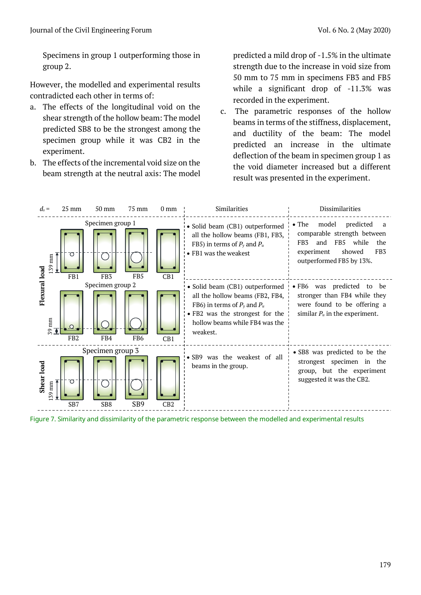Specimens in group 1 outperforming those in group 2.

However, the modelled and experimental results contradicted each other in terms of:

- a. The effects of the longitudinal void on the shear strength of the hollow beam: The model predicted SB8 to be the strongest among the specimen group while it was CB2 in the experiment.
- b. The effects of the incremental void size on the beam strength at the neutral axis: The model

predicted a mild drop of -1.5% in the ultimate strength due to the increase in void size from 50 mm to 75 mm in specimens FB3 and FB5 while a significant drop of -11.3% was recorded in the experiment.

c. The parametric responses of the hollow beams in terms of the stiffness, displacement, and ductility of the beam: The model predicted an increase in the ultimate deflection of the beam in specimen group 1 as the void diameter increased but a different result was presented in the experiment.



Figure 7. Similarity and dissimilarity of the parametric response between the modelled and experimental results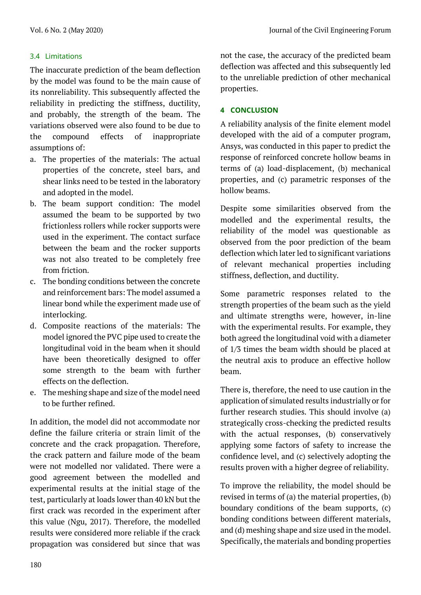## 3.4 Limitations

The inaccurate prediction of the beam deflection by the model was found to be the main cause of its nonreliability. This subsequently affected the reliability in predicting the stiffness, ductility, and probably, the strength of the beam. The variations observed were also found to be due to the compound effects of inappropriate assumptions of:

- a. The properties of the materials: The actual properties of the concrete, steel bars, and shear links need to be tested in the laboratory and adopted in the model.
- b. The beam support condition: The model assumed the beam to be supported by two frictionless rollers while rocker supports were used in the experiment. The contact surface between the beam and the rocker supports was not also treated to be completely free from friction.
- c. The bonding conditions between the concrete and reinforcement bars: The model assumed a linear bond while the experiment made use of interlocking.
- d. Composite reactions of the materials: The model ignored the PVC pipe used to create the longitudinal void in the beam when it should have been theoretically designed to offer some strength to the beam with further effects on the deflection.
- e. The meshing shape and size of the model need to be further refined.

In addition, the model did not accommodate nor define the failure criteria or strain limit of the concrete and the crack propagation. Therefore, the crack pattern and failure mode of the beam were not modelled nor validated. There were a good agreement between the modelled and experimental results at the initial stage of the test, particularly at loads lower than 40 kN but the first crack was recorded in the experiment after this value (Ngu, 2017). Therefore, the modelled results were considered more reliable if the crack propagation was considered but since that was not the case, the accuracy of the predicted beam deflection was affected and this subsequently led to the unreliable prediction of other mechanical properties.

## **4 CONCLUSION**

A reliability analysis of the finite element model developed with the aid of a computer program, Ansys, was conducted in this paper to predict the response of reinforced concrete hollow beams in terms of (a) load-displacement, (b) mechanical properties, and (c) parametric responses of the hollow beams.

Despite some similarities observed from the modelled and the experimental results, the reliability of the model was questionable as observed from the poor prediction of the beam deflection which later led to significant variations of relevant mechanical properties including stiffness, deflection, and ductility.

Some parametric responses related to the strength properties of the beam such as the yield and ultimate strengths were, however, in-line with the experimental results. For example, they both agreed the longitudinal void with a diameter of 1/3 times the beam width should be placed at the neutral axis to produce an effective hollow beam.

There is, therefore, the need to use caution in the application of simulated results industrially or for further research studies. This should involve (a) strategically cross-checking the predicted results with the actual responses, (b) conservatively applying some factors of safety to increase the confidence level, and (c) selectively adopting the results proven with a higher degree of reliability.

To improve the reliability, the model should be revised in terms of (a) the material properties, (b) boundary conditions of the beam supports, (c) bonding conditions between different materials, and (d) meshing shape and size used in the model. Specifically, the materials and bonding properties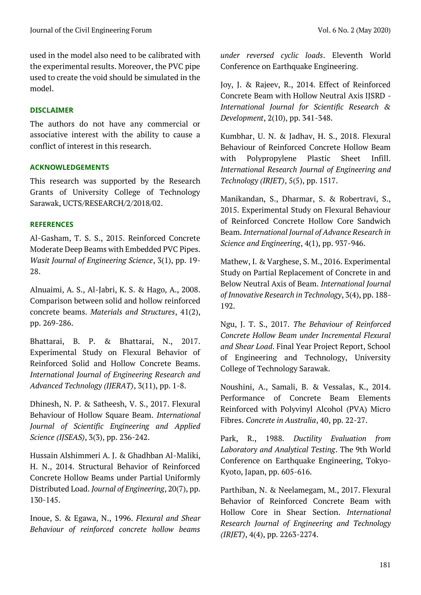used in the model also need to be calibrated with the experimental results. Moreover, the PVC pipe used to create the void should be simulated in the model.

# **DISCLAIMER**

The authors do not have any commercial or associative interest with the ability to cause a conflict of interest in this research.

# **ACKNOWLEDGEMENTS**

This research was supported by the Research Grants of University College of Technology Sarawak, UCTS/RESEARCH/2/2018/02.

# **REFERENCES**

Al-Gasham, T. S. S., 2015. Reinforced Concrete Moderate Deep Beams with Embedded PVC Pipes. *Wasit Journal of Engineering Science*, 3(1), pp. 19- 28.

Alnuaimi, A. S., Al-Jabri, K. S. & Hago, A., 2008. Comparison between solid and hollow reinforced concrete beams. *Materials and Structures*, 41(2), pp. 269-286.

Bhattarai, B. P. & Bhattarai, N., 2017. Experimental Study on Flexural Behavior of Reinforced Solid and Hollow Concrete Beams. *International Journal of Engineering Research and Advanced Technology (IJERAT)*, 3(11), pp. 1-8.

Dhinesh, N. P. & Satheesh, V. S., 2017. Flexural Behaviour of Hollow Square Beam. *International Journal of Scientific Engineering and Applied Science (IJSEAS)*, 3(3), pp. 236-242.

Hussain Alshimmeri A. J. & Ghadhban Al-Maliki, H. N., 2014. Structural Behavior of Reinforced Concrete Hollow Beams under Partial Uniformly Distributed Load. *Journal of Engineering*, 20(7), pp. 130-145.

Inoue, S. & Egawa, N., 1996. *Flexural and Shear Behaviour of reinforced concrete hollow beams*  *under reversed cyclic loads*. Eleventh World Conference on Earthquake Engineering.

Joy, J. & Rajeev, R., 2014. Effect of Reinforced Concrete Beam with Hollow Neutral Axis IJSRD - *International Journal for Scientific Research & Development*, 2(10), pp. 341-348.

Kumbhar, U. N. & Jadhav, H. S., 2018. Flexural Behaviour of Reinforced Concrete Hollow Beam with Polypropylene Plastic Sheet Infill. *International Research Journal of Engineering and Technology (IRJET)*, 5(5), pp. 1517.

Manikandan, S., Dharmar, S. & Robertravi, S., 2015. Experimental Study on Flexural Behaviour of Reinforced Concrete Hollow Core Sandwich Beam. *International Journal of Advance Research in Science and Engineering*, 4(1), pp. 937-946.

Mathew, I. & Varghese, S. M., 2016. Experimental Study on Partial Replacement of Concrete in and Below Neutral Axis of Beam. *International Journal of Innovative Research in Technology*, 3(4), pp. 188- 192.

Ngu, J. T. S., 2017. *The Behaviour of Reinforced Concrete Hollow Beam under Incremental Flexural and Shear Load*. Final Year Project Report, School of Engineering and Technology, University College of Technology Sarawak.

Noushini, A., Samali, B. & Vessalas, K., 2014. Performance of Concrete Beam Elements Reinforced with Polyvinyl Alcohol (PVA) Micro Fibres. *Concrete in Australia*, 40, pp. 22-27.

Park, R., 1988. *Ductility Evaluation from Laboratory and Analytical Testing*. The 9th World Conference on Earthquake Engineering, Tokyo-Kyoto, Japan, pp. 605-616.

Parthiban, N. & Neelamegam, M., 2017. Flexural Behavior of Reinforced Concrete Beam with Hollow Core in Shear Section. *International Research Journal of Engineering and Technology (IRJET)*, 4(4), pp. 2263-2274.